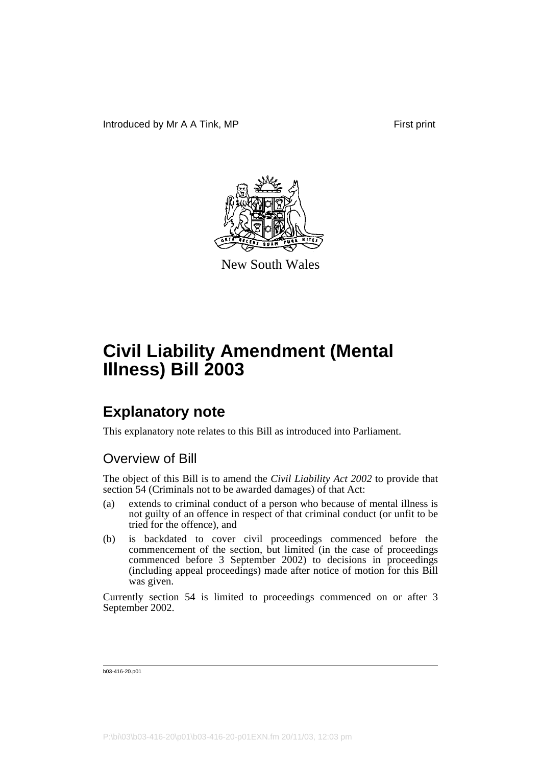

New South Wales

## **Explanatory note**

This explanatory note relates to this Bill as introduced into Parliament.

#### Overview of Bill

The object of this Bill is to amend the *Civil Liability Act 2002* to provide that section 54 (Criminals not to be awarded damages) of that Act:

- (a) extends to criminal conduct of a person who because of mental illness is not guilty of an offence in respect of that criminal conduct (or unfit to be tried for the offence), and
- (b) is backdated to cover civil proceedings commenced before the commencement of the section, but limited (in the case of proceedings commenced before 3 September 2002) to decisions in proceedings (including appeal proceedings) made after notice of motion for this Bill was given.

Currently section 54 is limited to proceedings commenced on or after 3 September 2002.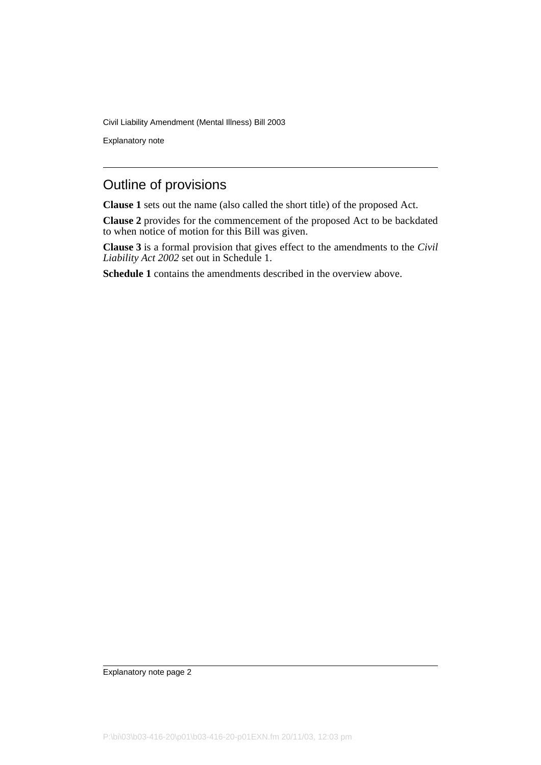Explanatory note

#### Outline of provisions

**Clause 1** sets out the name (also called the short title) of the proposed Act.

**Clause 2** provides for the commencement of the proposed Act to be backdated to when notice of motion for this Bill was given.

**Clause 3** is a formal provision that gives effect to the amendments to the *Civil Liability Act 2002* set out in Schedule 1.

**Schedule 1** contains the amendments described in the overview above.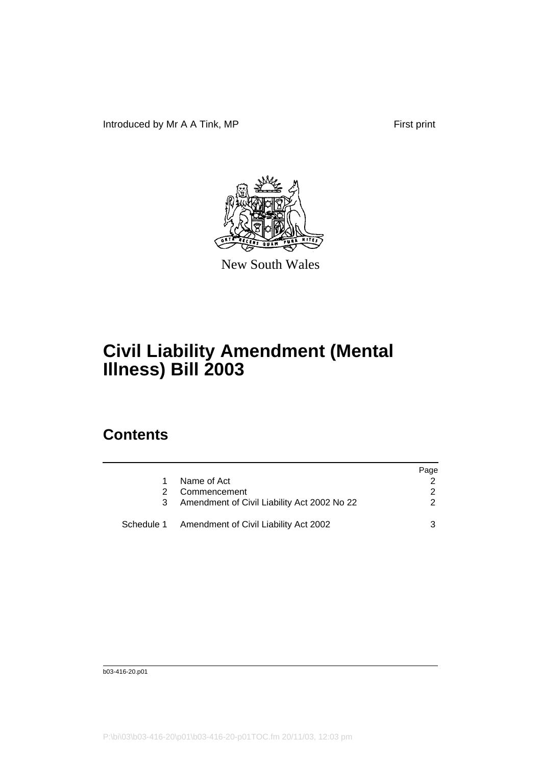Introduced by Mr A A Tink, MP First print



New South Wales

# **Civil Liability Amendment (Mental Illness) Bill 2003**

### **Contents**

|                                                  | Page |
|--------------------------------------------------|------|
| Name of Act                                      |      |
| Commencement                                     |      |
| Amendment of Civil Liability Act 2002 No 22      |      |
| Schedule 1 Amendment of Civil Liability Act 2002 |      |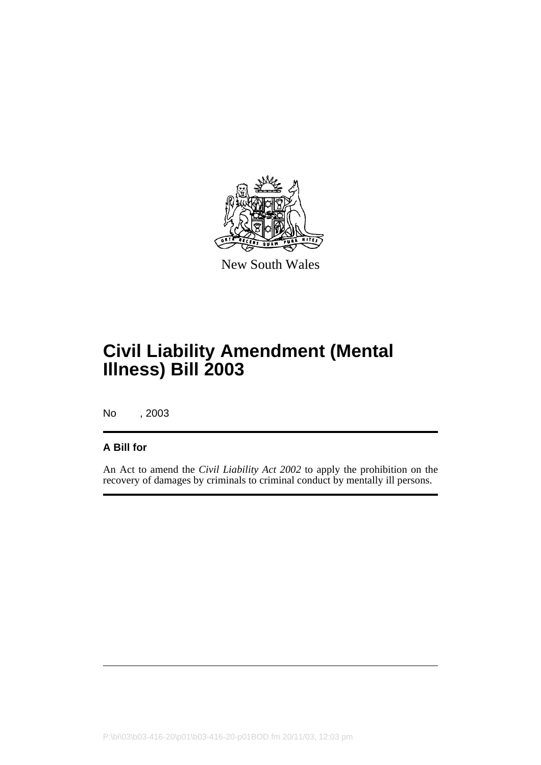

New South Wales

## **Civil Liability Amendment (Mental Illness) Bill 2003**

No , 2003

#### **A Bill for**

An Act to amend the *Civil Liability Act 2002* to apply the prohibition on the recovery of damages by criminals to criminal conduct by mentally ill persons.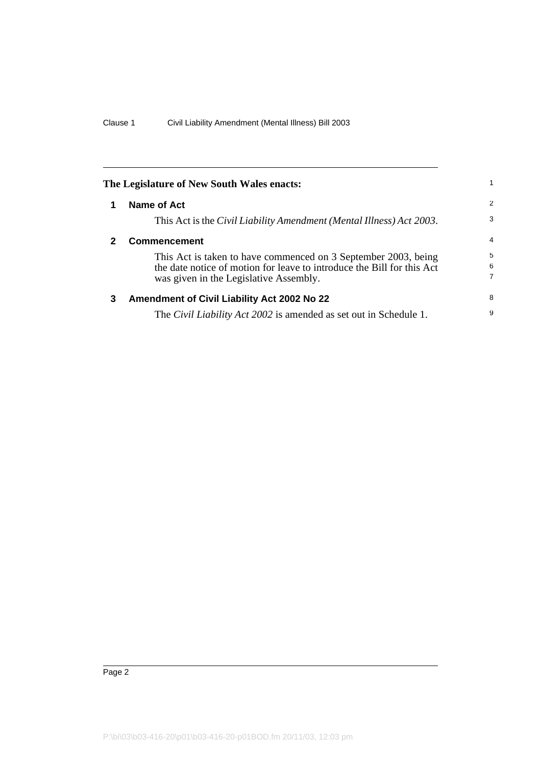<span id="page-5-2"></span><span id="page-5-1"></span><span id="page-5-0"></span>

|   | The Legislature of New South Wales enacts:                                                                                                                                         |                |
|---|------------------------------------------------------------------------------------------------------------------------------------------------------------------------------------|----------------|
| 1 | Name of Act                                                                                                                                                                        | $\overline{2}$ |
|   | This Act is the Civil Liability Amendment (Mental Illness) Act 2003.                                                                                                               | 3              |
| 2 | <b>Commencement</b>                                                                                                                                                                | $\overline{4}$ |
|   | This Act is taken to have commenced on 3 September 2003, being<br>the date notice of motion for leave to introduce the Bill for this Act<br>was given in the Legislative Assembly. | 5<br>6<br>7    |
| 3 | Amendment of Civil Liability Act 2002 No 22                                                                                                                                        | 8              |
|   | The <i>Civil Liability Act 2002</i> is amended as set out in Schedule 1.                                                                                                           | 9              |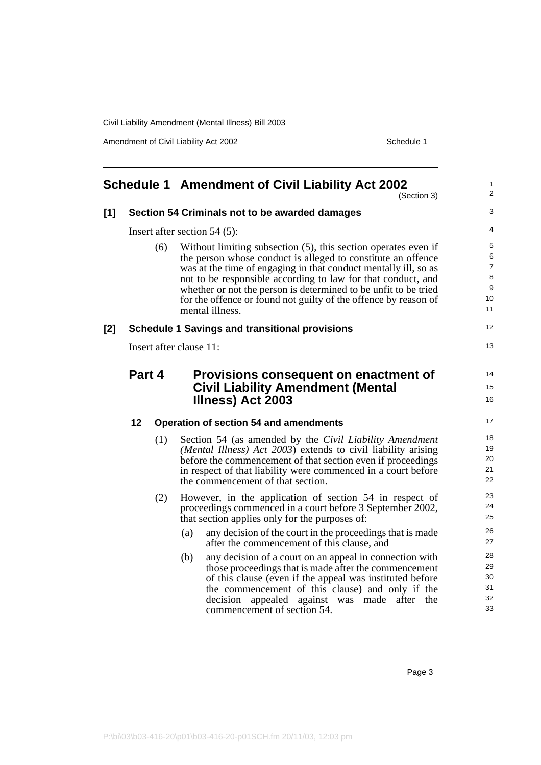Amendment of Civil Liability Act 2002 Schedule 1

<span id="page-6-0"></span>

|       |        |     | <b>Schedule 1 Amendment of Civil Liability Act 2002</b><br>(Section 3)                                                             | $\mathbf{1}$<br>2 |
|-------|--------|-----|------------------------------------------------------------------------------------------------------------------------------------|-------------------|
| $[1]$ |        |     | Section 54 Criminals not to be awarded damages                                                                                     | 3                 |
|       |        |     | Insert after section $54(5)$ :                                                                                                     | 4                 |
|       |        | (6) | Without limiting subsection (5), this section operates even if<br>the person whose conduct is alleged to constitute an offence     | 5<br>6            |
|       |        |     | was at the time of engaging in that conduct mentally ill, so as                                                                    | $\overline{7}$    |
|       |        |     | not to be responsible according to law for that conduct, and                                                                       | 8<br>9            |
|       |        |     | whether or not the person is determined to be unfit to be tried<br>for the offence or found not guilty of the offence by reason of | 10                |
|       |        |     | mental illness.                                                                                                                    | 11                |
| [2]   |        |     | <b>Schedule 1 Savings and transitional provisions</b>                                                                              | 12                |
|       |        |     | Insert after clause 11:                                                                                                            | 13                |
|       | Part 4 |     | Provisions consequent on enactment of                                                                                              | 14                |
|       |        |     |                                                                                                                                    |                   |
|       |        |     |                                                                                                                                    | 15                |
|       |        |     | <b>Civil Liability Amendment (Mental</b><br>Illness) Act 2003                                                                      | 16                |
|       | 12     |     | <b>Operation of section 54 and amendments</b>                                                                                      | 17                |
|       |        |     |                                                                                                                                    | 18                |
|       |        | (1) | Section 54 (as amended by the Civil Liability Amendment<br>(Mental Illness) Act 2003) extends to civil liability arising           | 19                |
|       |        |     | before the commencement of that section even if proceedings                                                                        | 20                |
|       |        |     | in respect of that liability were commenced in a court before                                                                      | 21                |
|       |        |     | the commencement of that section.                                                                                                  | 22                |
|       |        | (2) | However, in the application of section 54 in respect of                                                                            | 23                |
|       |        |     | proceedings commenced in a court before 3 September 2002,                                                                          | 24                |
|       |        |     | that section applies only for the purposes of:                                                                                     | 25                |
|       |        |     | any decision of the court in the proceedings that is made<br>(a)<br>after the commencement of this clause, and                     | 26<br>27          |
|       |        |     | (b)<br>any decision of a court on an appeal in connection with                                                                     | 28                |
|       |        |     | those proceedings that is made after the commencement                                                                              | 29                |
|       |        |     | of this clause (even if the appeal was instituted before                                                                           | 30                |
|       |        |     | the commencement of this clause) and only if the<br>decision<br>appealed against was made after the                                | 31<br>32          |